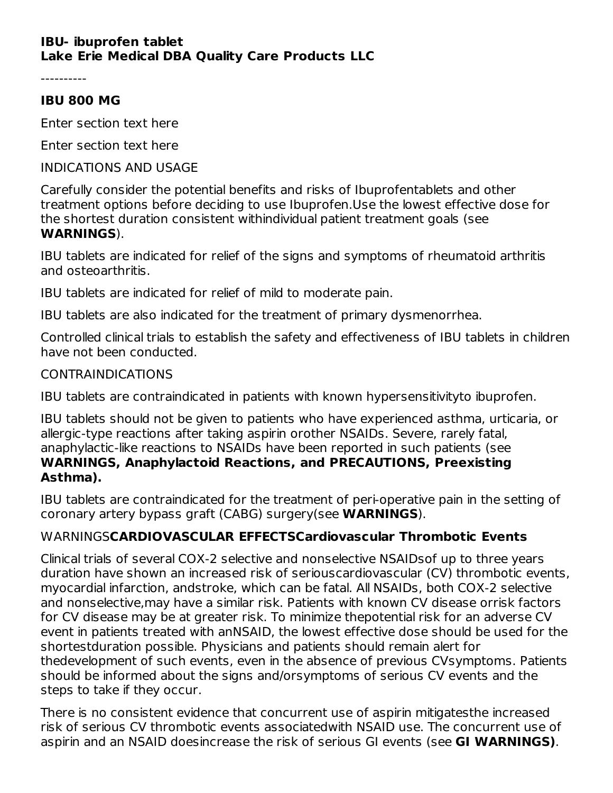#### **IBU- ibuprofen tablet Lake Erie Medical DBA Quality Care Products LLC**

----------

#### **IBU 800 MG**

Enter section text here

Enter section text here

INDICATIONS AND USAGE

Carefully consider the potential benefits and risks of Ibuprofentablets and other treatment options before deciding to use Ibuprofen.Use the lowest effective dose for the shortest duration consistent withindividual patient treatment goals (see **WARNINGS**).

IBU tablets are indicated for relief of the signs and symptoms of rheumatoid arthritis and osteoarthritis.

IBU tablets are indicated for relief of mild to moderate pain.

IBU tablets are also indicated for the treatment of primary dysmenorrhea.

Controlled clinical trials to establish the safety and effectiveness of IBU tablets in children have not been conducted.

#### CONTRAINDICATIONS

IBU tablets are contraindicated in patients with known hypersensitivityto ibuprofen.

IBU tablets should not be given to patients who have experienced asthma, urticaria, or allergic-type reactions after taking aspirin orother NSAIDs. Severe, rarely fatal, anaphylactic-like reactions to NSAIDs have been reported in such patients (see **WARNINGS, Anaphylactoid Reactions, and PRECAUTIONS, Preexisting Asthma).**

IBU tablets are contraindicated for the treatment of peri-operative pain in the setting of coronary artery bypass graft (CABG) surgery(see **WARNINGS**).

#### WARNINGS**CARDIOVASCULAR EFFECTSCardiovascular Thrombotic Events**

Clinical trials of several COX-2 selective and nonselective NSAIDsof up to three years duration have shown an increased risk of seriouscardiovascular (CV) thrombotic events, myocardial infarction, andstroke, which can be fatal. All NSAIDs, both COX-2 selective and nonselective,may have a similar risk. Patients with known CV disease orrisk factors for CV disease may be at greater risk. To minimize thepotential risk for an adverse CV event in patients treated with anNSAID, the lowest effective dose should be used for the shortestduration possible. Physicians and patients should remain alert for thedevelopment of such events, even in the absence of previous CVsymptoms. Patients should be informed about the signs and/orsymptoms of serious CV events and the steps to take if they occur.

There is no consistent evidence that concurrent use of aspirin mitigatesthe increased risk of serious CV thrombotic events associatedwith NSAID use. The concurrent use of aspirin and an NSAID doesincrease the risk of serious GI events (see **GI WARNINGS)**.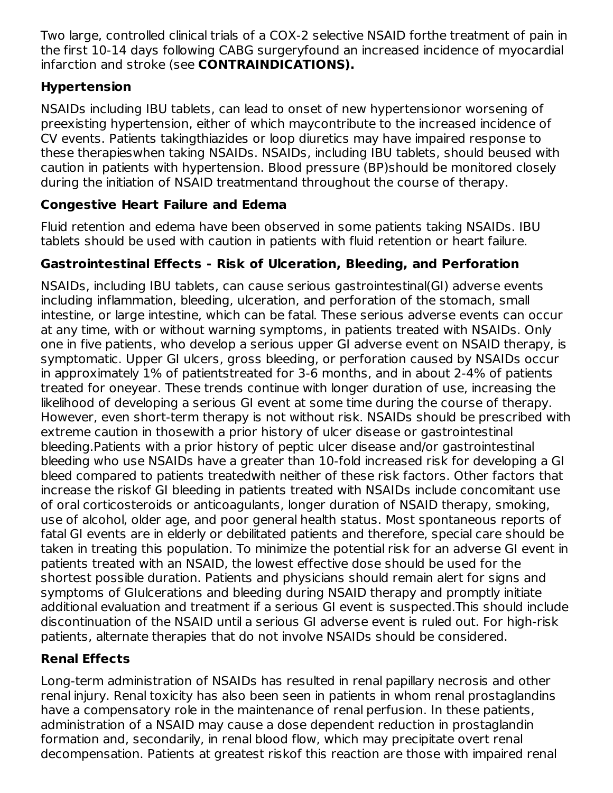Two large, controlled clinical trials of a COX-2 selective NSAID forthe treatment of pain in the first 10-14 days following CABG surgeryfound an increased incidence of myocardial infarction and stroke (see **CONTRAINDICATIONS).**

## **Hypertension**

NSAIDs including IBU tablets, can lead to onset of new hypertensionor worsening of preexisting hypertension, either of which maycontribute to the increased incidence of CV events. Patients takingthiazides or loop diuretics may have impaired response to these therapieswhen taking NSAIDs. NSAIDs, including IBU tablets, should beused with caution in patients with hypertension. Blood pressure (BP)should be monitored closely during the initiation of NSAID treatmentand throughout the course of therapy.

### **Congestive Heart Failure and Edema**

Fluid retention and edema have been observed in some patients taking NSAIDs. IBU tablets should be used with caution in patients with fluid retention or heart failure.

## **Gastrointestinal Effects - Risk of Ulceration, Bleeding, and Perforation**

NSAIDs, including IBU tablets, can cause serious gastrointestinal(GI) adverse events including inflammation, bleeding, ulceration, and perforation of the stomach, small intestine, or large intestine, which can be fatal. These serious adverse events can occur at any time, with or without warning symptoms, in patients treated with NSAIDs. Only one in five patients, who develop a serious upper GI adverse event on NSAID therapy, is symptomatic. Upper GI ulcers, gross bleeding, or perforation caused by NSAIDs occur in approximately 1% of patientstreated for 3-6 months, and in about 2-4% of patients treated for oneyear. These trends continue with longer duration of use, increasing the likelihood of developing a serious GI event at some time during the course of therapy. However, even short-term therapy is not without risk. NSAIDs should be prescribed with extreme caution in thosewith a prior history of ulcer disease or gastrointestinal bleeding.Patients with a prior history of peptic ulcer disease and/or gastrointestinal bleeding who use NSAIDs have a greater than 10-fold increased risk for developing a GI bleed compared to patients treatedwith neither of these risk factors. Other factors that increase the riskof GI bleeding in patients treated with NSAIDs include concomitant use of oral corticosteroids or anticoagulants, longer duration of NSAID therapy, smoking, use of alcohol, older age, and poor general health status. Most spontaneous reports of fatal GI events are in elderly or debilitated patients and therefore, special care should be taken in treating this population. To minimize the potential risk for an adverse GI event in patients treated with an NSAID, the lowest effective dose should be used for the shortest possible duration. Patients and physicians should remain alert for signs and symptoms of GIulcerations and bleeding during NSAID therapy and promptly initiate additional evaluation and treatment if a serious GI event is suspected.This should include discontinuation of the NSAID until a serious GI adverse event is ruled out. For high-risk patients, alternate therapies that do not involve NSAIDs should be considered.

## **Renal Effects**

Long-term administration of NSAIDs has resulted in renal papillary necrosis and other renal injury. Renal toxicity has also been seen in patients in whom renal prostaglandins have a compensatory role in the maintenance of renal perfusion. In these patients, administration of a NSAID may cause a dose dependent reduction in prostaglandin formation and, secondarily, in renal blood flow, which may precipitate overt renal decompensation. Patients at greatest riskof this reaction are those with impaired renal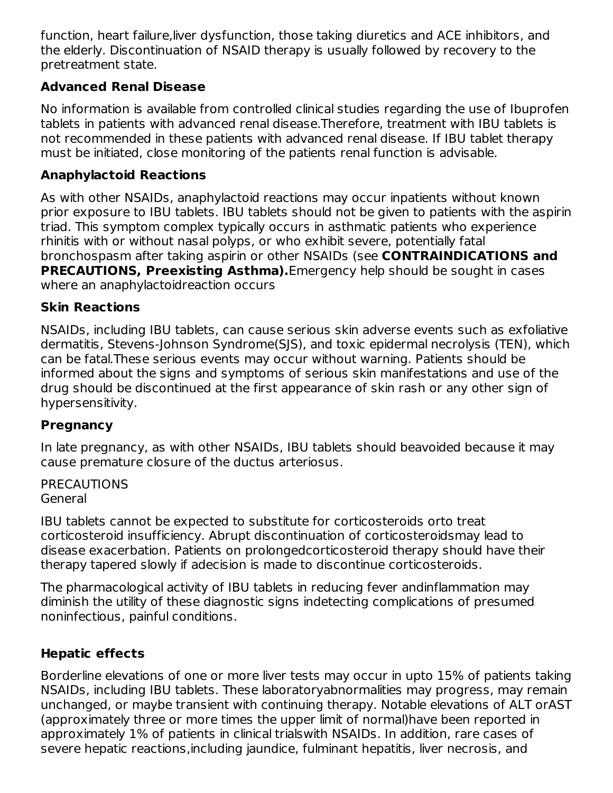function, heart failure, liver dysfunction, those taking diuretics and ACE inhibitors, and the elderly. Discontinuation of NSAID therapy is usually followed by recovery to the pretreatment state.

## **Advanced Renal Disease**

No information is available from controlled clinical studies regarding the use of Ibuprofen tablets in patients with advanced renal disease.Therefore, treatment with IBU tablets is not recommended in these patients with advanced renal disease. If IBU tablet therapy must be initiated, close monitoring of the patients renal function is advisable.

### **Anaphylactoid Reactions**

As with other NSAIDs, anaphylactoid reactions may occur inpatients without known prior exposure to IBU tablets. IBU tablets should not be given to patients with the aspirin triad. This symptom complex typically occurs in asthmatic patients who experience rhinitis with or without nasal polyps, or who exhibit severe, potentially fatal bronchospasm after taking aspirin or other NSAIDs (see **CONTRAINDICATIONS and PRECAUTIONS, Preexisting Asthma).**Emergency help should be sought in cases where an anaphylactoidreaction occurs

### **Skin Reactions**

NSAIDs, including IBU tablets, can cause serious skin adverse events such as exfoliative dermatitis, Stevens-Johnson Syndrome(SJS), and toxic epidermal necrolysis (TEN), which can be fatal.These serious events may occur without warning. Patients should be informed about the signs and symptoms of serious skin manifestations and use of the drug should be discontinued at the first appearance of skin rash or any other sign of hypersensitivity.

### **Pregnancy**

In late pregnancy, as with other NSAIDs, IBU tablets should beavoided because it may cause premature closure of the ductus arteriosus.

PRECAUTIONS General

IBU tablets cannot be expected to substitute for corticosteroids orto treat corticosteroid insufficiency. Abrupt discontinuation of corticosteroidsmay lead to disease exacerbation. Patients on prolongedcorticosteroid therapy should have their therapy tapered slowly if adecision is made to discontinue corticosteroids.

The pharmacological activity of IBU tablets in reducing fever andinflammation may diminish the utility of these diagnostic signs indetecting complications of presumed noninfectious, painful conditions.

### **Hepatic effects**

Borderline elevations of one or more liver tests may occur in upto 15% of patients taking NSAIDs, including IBU tablets. These laboratoryabnormalities may progress, may remain unchanged, or maybe transient with continuing therapy. Notable elevations of ALT orAST (approximately three or more times the upper limit of normal)have been reported in approximately 1% of patients in clinical trialswith NSAIDs. In addition, rare cases of severe hepatic reactions,including jaundice, fulminant hepatitis, liver necrosis, and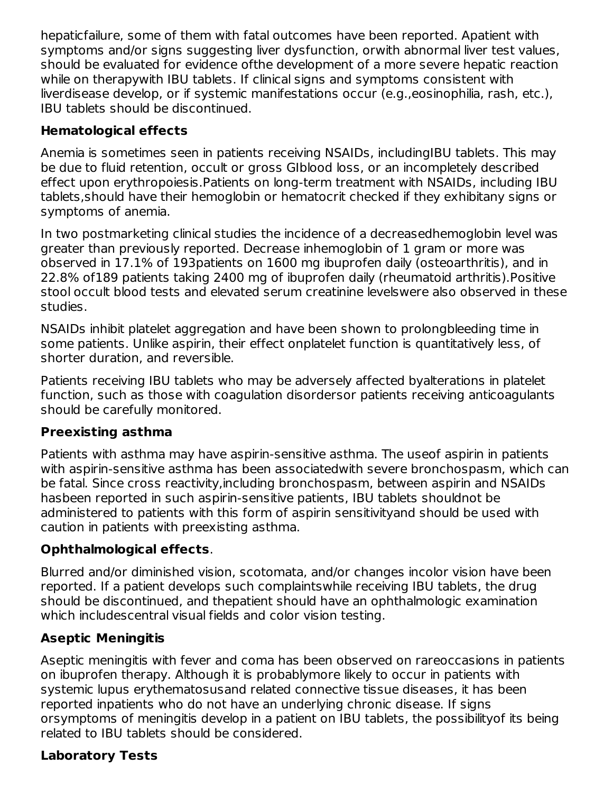hepaticfailure, some of them with fatal outcomes have been reported. Apatient with symptoms and/or signs suggesting liver dysfunction, orwith abnormal liver test values, should be evaluated for evidence ofthe development of a more severe hepatic reaction while on therapywith IBU tablets. If clinical signs and symptoms consistent with liverdisease develop, or if systemic manifestations occur (e.g.,eosinophilia, rash, etc.), IBU tablets should be discontinued.

### **Hematological effects**

Anemia is sometimes seen in patients receiving NSAIDs, includingIBU tablets. This may be due to fluid retention, occult or gross GIblood loss, or an incompletely described effect upon erythropoiesis.Patients on long-term treatment with NSAIDs, including IBU tablets,should have their hemoglobin or hematocrit checked if they exhibitany signs or symptoms of anemia.

In two postmarketing clinical studies the incidence of a decreasedhemoglobin level was greater than previously reported. Decrease inhemoglobin of 1 gram or more was observed in 17.1% of 193patients on 1600 mg ibuprofen daily (osteoarthritis), and in 22.8% of189 patients taking 2400 mg of ibuprofen daily (rheumatoid arthritis).Positive stool occult blood tests and elevated serum creatinine levelswere also observed in these studies.

NSAIDs inhibit platelet aggregation and have been shown to prolongbleeding time in some patients. Unlike aspirin, their effect onplatelet function is quantitatively less, of shorter duration, and reversible.

Patients receiving IBU tablets who may be adversely affected byalterations in platelet function, such as those with coagulation disordersor patients receiving anticoagulants should be carefully monitored.

### **Preexisting asthma**

Patients with asthma may have aspirin-sensitive asthma. The useof aspirin in patients with aspirin-sensitive asthma has been associatedwith severe bronchospasm, which can be fatal. Since cross reactivity,including bronchospasm, between aspirin and NSAIDs hasbeen reported in such aspirin-sensitive patients, IBU tablets shouldnot be administered to patients with this form of aspirin sensitivityand should be used with caution in patients with preexisting asthma.

## **Ophthalmological effects**.

Blurred and/or diminished vision, scotomata, and/or changes incolor vision have been reported. If a patient develops such complaintswhile receiving IBU tablets, the drug should be discontinued, and thepatient should have an ophthalmologic examination which includescentral visual fields and color vision testing.

## **Aseptic Meningitis**

Aseptic meningitis with fever and coma has been observed on rareoccasions in patients on ibuprofen therapy. Although it is probablymore likely to occur in patients with systemic lupus erythematosusand related connective tissue diseases, it has been reported inpatients who do not have an underlying chronic disease. If signs orsymptoms of meningitis develop in a patient on IBU tablets, the possibilityof its being related to IBU tablets should be considered.

## **Laboratory Tests**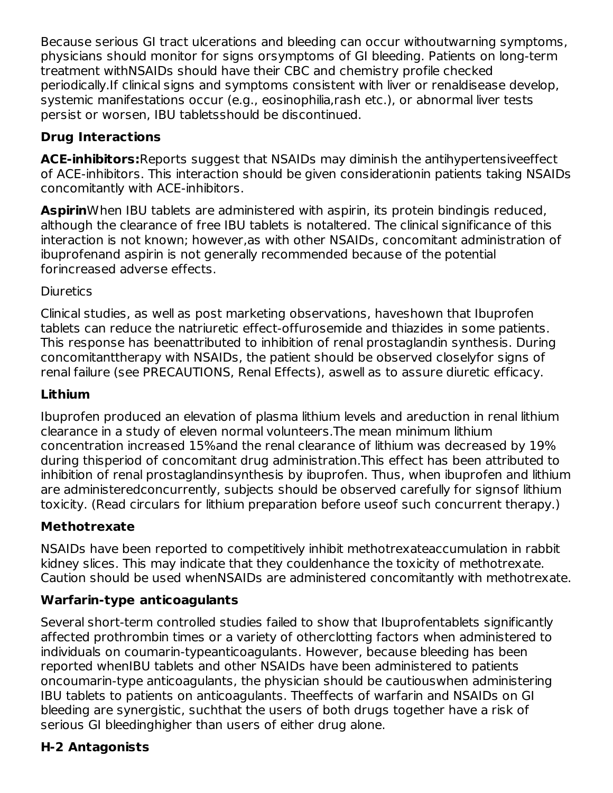Because serious GI tract ulcerations and bleeding can occur withoutwarning symptoms, physicians should monitor for signs orsymptoms of GI bleeding. Patients on long-term treatment withNSAIDs should have their CBC and chemistry profile checked periodically.If clinical signs and symptoms consistent with liver or renaldisease develop, systemic manifestations occur (e.g., eosinophilia,rash etc.), or abnormal liver tests persist or worsen, IBU tabletsshould be discontinued.

## **Drug Interactions**

**ACE-inhibitors:**Reports suggest that NSAIDs may diminish the antihypertensiveeffect of ACE-inhibitors. This interaction should be given considerationin patients taking NSAIDs concomitantly with ACE-inhibitors.

**Aspirin**When IBU tablets are administered with aspirin, its protein bindingis reduced, although the clearance of free IBU tablets is notaltered. The clinical significance of this interaction is not known; however,as with other NSAIDs, concomitant administration of ibuprofenand aspirin is not generally recommended because of the potential forincreased adverse effects.

### **Diuretics**

Clinical studies, as well as post marketing observations, haveshown that Ibuprofen tablets can reduce the natriuretic effect-offurosemide and thiazides in some patients. This response has beenattributed to inhibition of renal prostaglandin synthesis. During concomitanttherapy with NSAIDs, the patient should be observed closelyfor signs of renal failure (see PRECAUTIONS, Renal Effects), aswell as to assure diuretic efficacy.

#### **Lithium**

Ibuprofen produced an elevation of plasma lithium levels and areduction in renal lithium clearance in a study of eleven normal volunteers.The mean minimum lithium concentration increased 15%and the renal clearance of lithium was decreased by 19% during thisperiod of concomitant drug administration.This effect has been attributed to inhibition of renal prostaglandinsynthesis by ibuprofen. Thus, when ibuprofen and lithium are administeredconcurrently, subjects should be observed carefully for signsof lithium toxicity. (Read circulars for lithium preparation before useof such concurrent therapy.)

### **Methotrexate**

NSAIDs have been reported to competitively inhibit methotrexateaccumulation in rabbit kidney slices. This may indicate that they couldenhance the toxicity of methotrexate. Caution should be used whenNSAIDs are administered concomitantly with methotrexate.

### **Warfarin-type anticoagulants**

Several short-term controlled studies failed to show that Ibuprofentablets significantly affected prothrombin times or a variety of otherclotting factors when administered to individuals on coumarin-typeanticoagulants. However, because bleeding has been reported whenIBU tablets and other NSAIDs have been administered to patients oncoumarin-type anticoagulants, the physician should be cautiouswhen administering IBU tablets to patients on anticoagulants. Theeffects of warfarin and NSAIDs on GI bleeding are synergistic, suchthat the users of both drugs together have a risk of serious GI bleedinghigher than users of either drug alone.

## **H-2 Antagonists**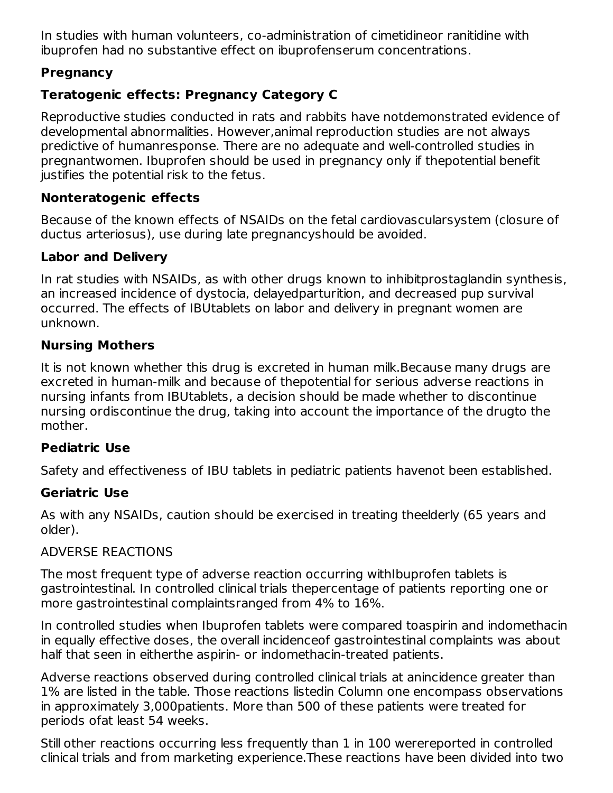In studies with human volunteers, co-administration of cimetidineor ranitidine with ibuprofen had no substantive effect on ibuprofenserum concentrations.

### **Pregnancy**

# **Teratogenic effects: Pregnancy Category C**

Reproductive studies conducted in rats and rabbits have notdemonstrated evidence of developmental abnormalities. However,animal reproduction studies are not always predictive of humanresponse. There are no adequate and well-controlled studies in pregnantwomen. Ibuprofen should be used in pregnancy only if thepotential benefit justifies the potential risk to the fetus.

## **Nonteratogenic effects**

Because of the known effects of NSAIDs on the fetal cardiovascularsystem (closure of ductus arteriosus), use during late pregnancyshould be avoided.

# **Labor and Delivery**

In rat studies with NSAIDs, as with other drugs known to inhibitprostaglandin synthesis, an increased incidence of dystocia, delayedparturition, and decreased pup survival occurred. The effects of IBUtablets on labor and delivery in pregnant women are unknown.

## **Nursing Mothers**

It is not known whether this drug is excreted in human milk.Because many drugs are excreted in human-milk and because of thepotential for serious adverse reactions in nursing infants from IBUtablets, a decision should be made whether to discontinue nursing ordiscontinue the drug, taking into account the importance of the drugto the mother.

# **Pediatric Use**

Safety and effectiveness of IBU tablets in pediatric patients havenot been established.

# **Geriatric Use**

As with any NSAIDs, caution should be exercised in treating theelderly (65 years and older).

## ADVERSE REACTIONS

The most frequent type of adverse reaction occurring withIbuprofen tablets is gastrointestinal. In controlled clinical trials thepercentage of patients reporting one or more gastrointestinal complaintsranged from 4% to 16%.

In controlled studies when Ibuprofen tablets were compared toaspirin and indomethacin in equally effective doses, the overall incidenceof gastrointestinal complaints was about half that seen in eitherthe aspirin- or indomethacin-treated patients.

Adverse reactions observed during controlled clinical trials at anincidence greater than 1% are listed in the table. Those reactions listedin Column one encompass observations in approximately 3,000patients. More than 500 of these patients were treated for periods ofat least 54 weeks.

Still other reactions occurring less frequently than 1 in 100 werereported in controlled clinical trials and from marketing experience.These reactions have been divided into two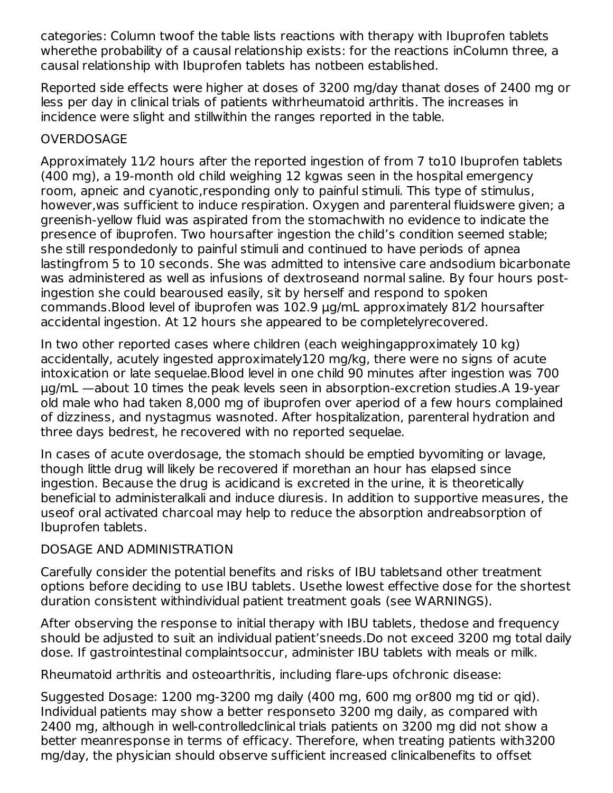categories: Column twoof the table lists reactions with therapy with Ibuprofen tablets wherethe probability of a causal relationship exists: for the reactions inColumn three, a causal relationship with Ibuprofen tablets has notbeen established.

Reported side effects were higher at doses of 3200 mg/day thanat doses of 2400 mg or less per day in clinical trials of patients withrheumatoid arthritis. The increases in incidence were slight and stillwithin the ranges reported in the table.

### **OVERDOSAGE**

Approximately 11⁄2 hours after the reported ingestion of from 7 to10 Ibuprofen tablets (400 mg), a 19-month old child weighing 12 kgwas seen in the hospital emergency room, apneic and cyanotic,responding only to painful stimuli. This type of stimulus, however,was sufficient to induce respiration. Oxygen and parenteral fluidswere given; a greenish-yellow fluid was aspirated from the stomachwith no evidence to indicate the presence of ibuprofen. Two hoursafter ingestion the child's condition seemed stable; she still respondedonly to painful stimuli and continued to have periods of apnea lastingfrom 5 to 10 seconds. She was admitted to intensive care andsodium bicarbonate was administered as well as infusions of dextroseand normal saline. By four hours postingestion she could bearoused easily, sit by herself and respond to spoken commands.Blood level of ibuprofen was 102.9 μg/mL approximately 81⁄2 hoursafter accidental ingestion. At 12 hours she appeared to be completelyrecovered.

In two other reported cases where children (each weighingapproximately 10 kg) accidentally, acutely ingested approximately120 mg/kg, there were no signs of acute intoxication or late sequelae.Blood level in one child 90 minutes after ingestion was 700 μg/mL —about 10 times the peak levels seen in absorption-excretion studies.A 19-year old male who had taken 8,000 mg of ibuprofen over aperiod of a few hours complained of dizziness, and nystagmus wasnoted. After hospitalization, parenteral hydration and three days bedrest, he recovered with no reported sequelae.

In cases of acute overdosage, the stomach should be emptied byvomiting or lavage, though little drug will likely be recovered if morethan an hour has elapsed since ingestion. Because the drug is acidicand is excreted in the urine, it is theoretically beneficial to administeralkali and induce diuresis. In addition to supportive measures, the useof oral activated charcoal may help to reduce the absorption andreabsorption of Ibuprofen tablets.

#### DOSAGE AND ADMINISTRATION

Carefully consider the potential benefits and risks of IBU tabletsand other treatment options before deciding to use IBU tablets. Usethe lowest effective dose for the shortest duration consistent withindividual patient treatment goals (see WARNINGS).

After observing the response to initial therapy with IBU tablets, thedose and frequency should be adjusted to suit an individual patient'sneeds.Do not exceed 3200 mg total daily dose. If gastrointestinal complaintsoccur, administer IBU tablets with meals or milk.

Rheumatoid arthritis and osteoarthritis, including flare-ups ofchronic disease:

Suggested Dosage: 1200 mg-3200 mg daily (400 mg, 600 mg or800 mg tid or qid). Individual patients may show a better responseto 3200 mg daily, as compared with 2400 mg, although in well-controlledclinical trials patients on 3200 mg did not show a better meanresponse in terms of efficacy. Therefore, when treating patients with3200 mg/day, the physician should observe sufficient increased clinicalbenefits to offset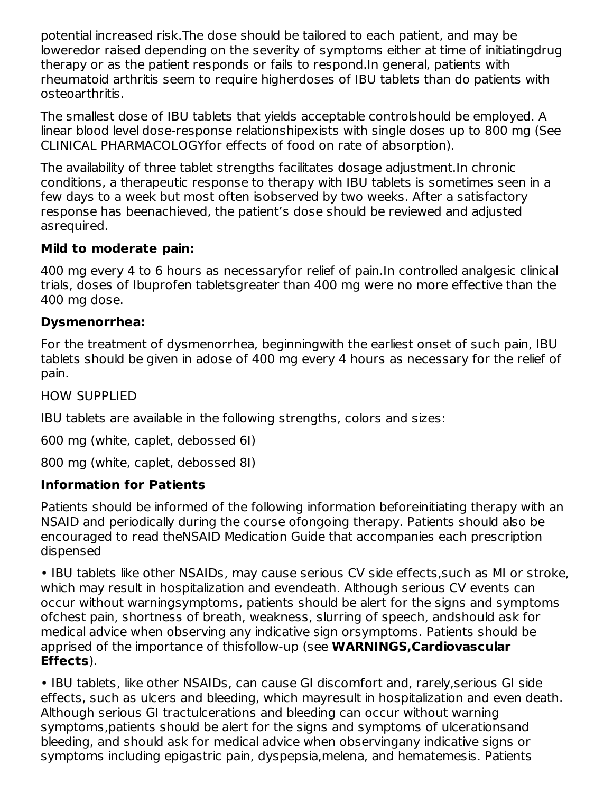potential increased risk.The dose should be tailored to each patient, and may be loweredor raised depending on the severity of symptoms either at time of initiatingdrug therapy or as the patient responds or fails to respond.In general, patients with rheumatoid arthritis seem to require higherdoses of IBU tablets than do patients with osteoarthritis.

The smallest dose of IBU tablets that yields acceptable controlshould be employed. A linear blood level dose-response relationshipexists with single doses up to 800 mg (See CLINICAL PHARMACOLOGYfor effects of food on rate of absorption).

The availability of three tablet strengths facilitates dosage adjustment.In chronic conditions, a therapeutic response to therapy with IBU tablets is sometimes seen in a few days to a week but most often isobserved by two weeks. After a satisfactory response has beenachieved, the patient's dose should be reviewed and adjusted asrequired.

### **Mild to moderate pain:**

400 mg every 4 to 6 hours as necessaryfor relief of pain.In controlled analgesic clinical trials, doses of Ibuprofen tabletsgreater than 400 mg were no more effective than the 400 mg dose.

### **Dysmenorrhea:**

For the treatment of dysmenorrhea, beginningwith the earliest onset of such pain, IBU tablets should be given in adose of 400 mg every 4 hours as necessary for the relief of pain.

#### HOW SUPPLIED

IBU tablets are available in the following strengths, colors and sizes:

600 mg (white, caplet, debossed 6I)

800 mg (white, caplet, debossed 8I)

### **Information for Patients**

Patients should be informed of the following information beforeinitiating therapy with an NSAID and periodically during the course ofongoing therapy. Patients should also be encouraged to read theNSAID Medication Guide that accompanies each prescription dispensed

• IBU tablets like other NSAIDs, may cause serious CV side effects,such as MI or stroke, which may result in hospitalization and evendeath. Although serious CV events can occur without warningsymptoms, patients should be alert for the signs and symptoms ofchest pain, shortness of breath, weakness, slurring of speech, andshould ask for medical advice when observing any indicative sign orsymptoms. Patients should be apprised of the importance of thisfollow-up (see **WARNINGS,Cardiovascular Effects**).

• IBU tablets, like other NSAIDs, can cause GI discomfort and, rarely,serious GI side effects, such as ulcers and bleeding, which mayresult in hospitalization and even death. Although serious GI tractulcerations and bleeding can occur without warning symptoms,patients should be alert for the signs and symptoms of ulcerationsand bleeding, and should ask for medical advice when observingany indicative signs or symptoms including epigastric pain, dyspepsia,melena, and hematemesis. Patients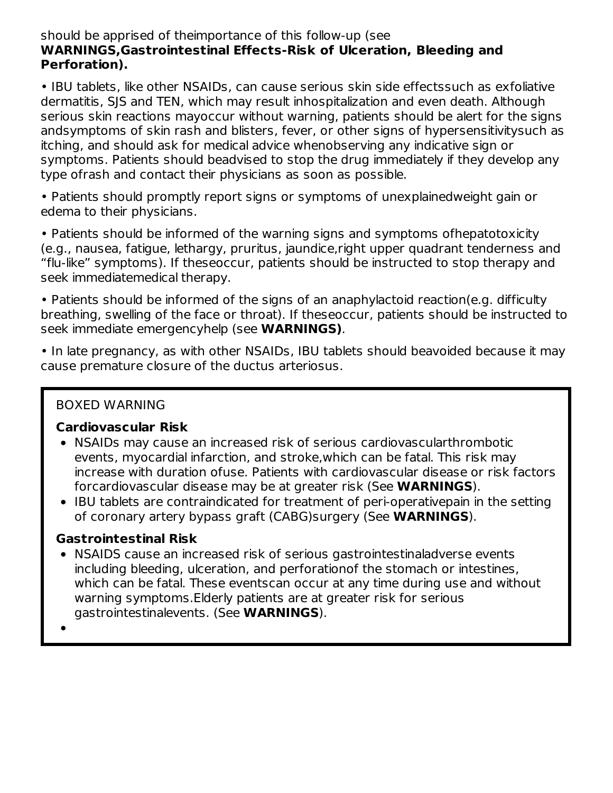#### should be apprised of theimportance of this follow-up (see **WARNINGS,Gastrointestinal Effects-Risk of Ulceration, Bleeding and Perforation).**

• IBU tablets, like other NSAIDs, can cause serious skin side effectssuch as exfoliative dermatitis, SJS and TEN, which may result inhospitalization and even death. Although serious skin reactions mayoccur without warning, patients should be alert for the signs andsymptoms of skin rash and blisters, fever, or other signs of hypersensitivitysuch as itching, and should ask for medical advice whenobserving any indicative sign or symptoms. Patients should beadvised to stop the drug immediately if they develop any type ofrash and contact their physicians as soon as possible.

• Patients should promptly report signs or symptoms of unexplainedweight gain or edema to their physicians.

• Patients should be informed of the warning signs and symptoms ofhepatotoxicity (e.g., nausea, fatigue, lethargy, pruritus, jaundice,right upper quadrant tenderness and "flu-like" symptoms). If theseoccur, patients should be instructed to stop therapy and seek immediatemedical therapy.

• Patients should be informed of the signs of an anaphylactoid reaction(e.g. difficulty breathing, swelling of the face or throat). If theseoccur, patients should be instructed to seek immediate emergencyhelp (see **WARNINGS)**.

• In late pregnancy, as with other NSAIDs, IBU tablets should beavoided because it may cause premature closure of the ductus arteriosus.

#### BOXED WARNING

#### **Cardiovascular Risk**

- NSAIDs may cause an increased risk of serious cardiovascularthrombotic events, myocardial infarction, and stroke,which can be fatal. This risk may increase with duration ofuse. Patients with cardiovascular disease or risk factors forcardiovascular disease may be at greater risk (See **WARNINGS**).
- IBU tablets are contraindicated for treatment of peri-operativepain in the setting of coronary artery bypass graft (CABG)surgery (See **WARNINGS**).

#### **Gastrointestinal Risk**

NSAIDS cause an increased risk of serious gastrointestinaladverse events including bleeding, ulceration, and perforationof the stomach or intestines, which can be fatal. These eventscan occur at any time during use and without warning symptoms.Elderly patients are at greater risk for serious gastrointestinalevents. (See **WARNINGS**).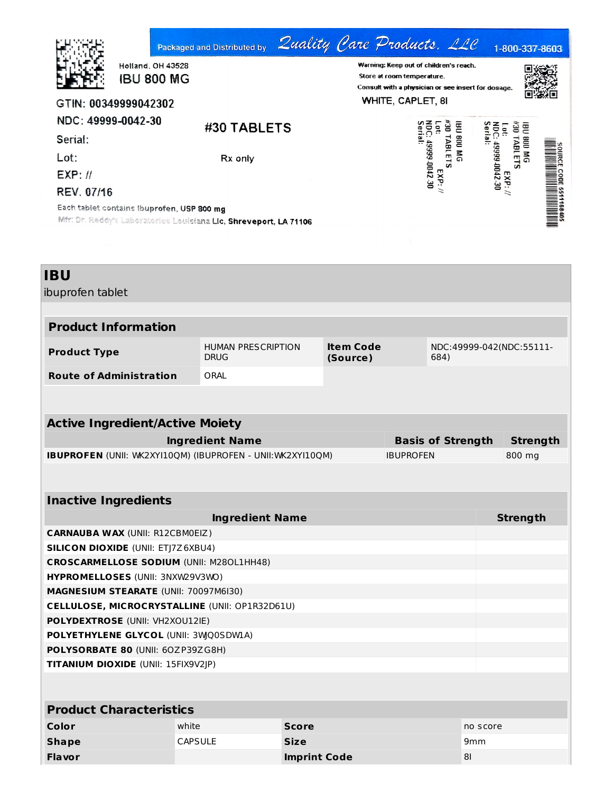|                      | <b>Packaged and Distributed by</b>                                | Zuality Care Products. LLC                                                                                                 |                             |                     | 1-800-337-8603           |                          |                |
|----------------------|-------------------------------------------------------------------|----------------------------------------------------------------------------------------------------------------------------|-----------------------------|---------------------|--------------------------|--------------------------|----------------|
|                      | Holland, OH 43528<br><b>IBU 800 MG</b>                            | Warning: Keep out of children's reach.<br>Store at room temperature.<br>Consult with a physician or see insert for dosage. |                             |                     |                          |                          |                |
| GTIN: 00349999042302 |                                                                   | WHITE, CAPLET, 81                                                                                                          |                             |                     |                          |                          |                |
| NDC: 49999-0042-30   | #30 TABLETS                                                       |                                                                                                                            |                             |                     |                          |                          |                |
| Serial:              |                                                                   |                                                                                                                            |                             | eo                  | ŠΒ                       |                          |                |
| Lot:                 | Rx only                                                           |                                                                                                                            |                             | <b>ABLETS</b><br>5M | 06°21001 66661<br>GXP: / | ILETS<br>$5\overline{a}$ |                |
| EXP: H               |                                                                   |                                                                                                                            | <b>OE: ZPOD</b> : 6<br>EXP: |                     |                          |                          |                |
| <b>REV. 07/16</b>    |                                                                   |                                                                                                                            |                             |                     |                          |                          |                |
|                      | Each tablet contains Ibuprofen, USP 800 mg                        |                                                                                                                            |                             |                     |                          |                          | <b>MANAGER</b> |
|                      | Mfr: Dr. Reddy's Laboratories Louisiana LIc, Shreveport, LA 71106 |                                                                                                                            |                             |                     |                          |                          |                |
|                      |                                                                   |                                                                                                                            |                             |                     |                          |                          |                |

| ibuprofen tablet<br><b>Product Information</b><br><b>Item Code</b><br><b>HUMAN PRESCRIPTION</b><br>NDC:49999-042(NDC:55111-<br><b>Product Type</b><br>(Source)<br>684)<br><b>DRUG</b><br><b>Route of Administration</b><br>ORAL<br><b>Active Ingredient/Active Moiety</b><br><b>Strength</b><br><b>Ingredient Name</b><br><b>Basis of Strength</b><br>IBUPROFEN (UNII: WK2XYI10QM) (IBUPROFEN - UNII: WK2XYI10QM)<br><b>IBUPROFEN</b><br>800 mg<br><b>Inactive Ingredients</b><br><b>Ingredient Name</b><br><b>Strength</b><br><b>CARNAUBA WAX (UNII: R12CBM0EIZ)</b><br><b>SILICON DIOXIDE (UNII: ETJ7Z6XBU4)</b><br><b>CROSCARMELLOSE SODIUM (UNII: M280L1HH48)</b><br>HYPROMELLOSES (UNII: 3NXW29V3WO)<br>MAGNESIUM STEARATE (UNII: 70097M6I30)<br>CELLULOSE, MICROCRYSTALLINE (UNII: OP1R32D61U)<br>POLYDEXTROSE (UNII: VH2XOU12IE)<br>POLYETHYLENE GLYCOL (UNII: 3WQ0SDWLA)<br>POLYSORBATE 80 (UNII: 60ZP39ZG8H)<br>TITANIUM DIOXIDE (UNII: 15FIX9V2JP)<br><b>Product Characteristics</b><br>Color<br>white<br><b>Score</b><br>no score<br><b>CAPSULE</b><br><b>Size</b><br><b>Shape</b><br>9 <sub>mm</sub><br><b>Flavor</b><br>81<br><b>Imprint Code</b> | <b>IBU</b> |  |  |  |  |  |  |
|----------------------------------------------------------------------------------------------------------------------------------------------------------------------------------------------------------------------------------------------------------------------------------------------------------------------------------------------------------------------------------------------------------------------------------------------------------------------------------------------------------------------------------------------------------------------------------------------------------------------------------------------------------------------------------------------------------------------------------------------------------------------------------------------------------------------------------------------------------------------------------------------------------------------------------------------------------------------------------------------------------------------------------------------------------------------------------------------------------------------------------------------------------------|------------|--|--|--|--|--|--|
|                                                                                                                                                                                                                                                                                                                                                                                                                                                                                                                                                                                                                                                                                                                                                                                                                                                                                                                                                                                                                                                                                                                                                                |            |  |  |  |  |  |  |
|                                                                                                                                                                                                                                                                                                                                                                                                                                                                                                                                                                                                                                                                                                                                                                                                                                                                                                                                                                                                                                                                                                                                                                |            |  |  |  |  |  |  |
|                                                                                                                                                                                                                                                                                                                                                                                                                                                                                                                                                                                                                                                                                                                                                                                                                                                                                                                                                                                                                                                                                                                                                                |            |  |  |  |  |  |  |
|                                                                                                                                                                                                                                                                                                                                                                                                                                                                                                                                                                                                                                                                                                                                                                                                                                                                                                                                                                                                                                                                                                                                                                |            |  |  |  |  |  |  |
|                                                                                                                                                                                                                                                                                                                                                                                                                                                                                                                                                                                                                                                                                                                                                                                                                                                                                                                                                                                                                                                                                                                                                                |            |  |  |  |  |  |  |
|                                                                                                                                                                                                                                                                                                                                                                                                                                                                                                                                                                                                                                                                                                                                                                                                                                                                                                                                                                                                                                                                                                                                                                |            |  |  |  |  |  |  |
|                                                                                                                                                                                                                                                                                                                                                                                                                                                                                                                                                                                                                                                                                                                                                                                                                                                                                                                                                                                                                                                                                                                                                                |            |  |  |  |  |  |  |
|                                                                                                                                                                                                                                                                                                                                                                                                                                                                                                                                                                                                                                                                                                                                                                                                                                                                                                                                                                                                                                                                                                                                                                |            |  |  |  |  |  |  |
|                                                                                                                                                                                                                                                                                                                                                                                                                                                                                                                                                                                                                                                                                                                                                                                                                                                                                                                                                                                                                                                                                                                                                                |            |  |  |  |  |  |  |
|                                                                                                                                                                                                                                                                                                                                                                                                                                                                                                                                                                                                                                                                                                                                                                                                                                                                                                                                                                                                                                                                                                                                                                |            |  |  |  |  |  |  |
|                                                                                                                                                                                                                                                                                                                                                                                                                                                                                                                                                                                                                                                                                                                                                                                                                                                                                                                                                                                                                                                                                                                                                                |            |  |  |  |  |  |  |
|                                                                                                                                                                                                                                                                                                                                                                                                                                                                                                                                                                                                                                                                                                                                                                                                                                                                                                                                                                                                                                                                                                                                                                |            |  |  |  |  |  |  |
|                                                                                                                                                                                                                                                                                                                                                                                                                                                                                                                                                                                                                                                                                                                                                                                                                                                                                                                                                                                                                                                                                                                                                                |            |  |  |  |  |  |  |
|                                                                                                                                                                                                                                                                                                                                                                                                                                                                                                                                                                                                                                                                                                                                                                                                                                                                                                                                                                                                                                                                                                                                                                |            |  |  |  |  |  |  |
|                                                                                                                                                                                                                                                                                                                                                                                                                                                                                                                                                                                                                                                                                                                                                                                                                                                                                                                                                                                                                                                                                                                                                                |            |  |  |  |  |  |  |
|                                                                                                                                                                                                                                                                                                                                                                                                                                                                                                                                                                                                                                                                                                                                                                                                                                                                                                                                                                                                                                                                                                                                                                |            |  |  |  |  |  |  |
|                                                                                                                                                                                                                                                                                                                                                                                                                                                                                                                                                                                                                                                                                                                                                                                                                                                                                                                                                                                                                                                                                                                                                                |            |  |  |  |  |  |  |
|                                                                                                                                                                                                                                                                                                                                                                                                                                                                                                                                                                                                                                                                                                                                                                                                                                                                                                                                                                                                                                                                                                                                                                |            |  |  |  |  |  |  |
|                                                                                                                                                                                                                                                                                                                                                                                                                                                                                                                                                                                                                                                                                                                                                                                                                                                                                                                                                                                                                                                                                                                                                                |            |  |  |  |  |  |  |
|                                                                                                                                                                                                                                                                                                                                                                                                                                                                                                                                                                                                                                                                                                                                                                                                                                                                                                                                                                                                                                                                                                                                                                |            |  |  |  |  |  |  |
|                                                                                                                                                                                                                                                                                                                                                                                                                                                                                                                                                                                                                                                                                                                                                                                                                                                                                                                                                                                                                                                                                                                                                                |            |  |  |  |  |  |  |
|                                                                                                                                                                                                                                                                                                                                                                                                                                                                                                                                                                                                                                                                                                                                                                                                                                                                                                                                                                                                                                                                                                                                                                |            |  |  |  |  |  |  |
|                                                                                                                                                                                                                                                                                                                                                                                                                                                                                                                                                                                                                                                                                                                                                                                                                                                                                                                                                                                                                                                                                                                                                                |            |  |  |  |  |  |  |
|                                                                                                                                                                                                                                                                                                                                                                                                                                                                                                                                                                                                                                                                                                                                                                                                                                                                                                                                                                                                                                                                                                                                                                |            |  |  |  |  |  |  |
|                                                                                                                                                                                                                                                                                                                                                                                                                                                                                                                                                                                                                                                                                                                                                                                                                                                                                                                                                                                                                                                                                                                                                                |            |  |  |  |  |  |  |
|                                                                                                                                                                                                                                                                                                                                                                                                                                                                                                                                                                                                                                                                                                                                                                                                                                                                                                                                                                                                                                                                                                                                                                |            |  |  |  |  |  |  |
|                                                                                                                                                                                                                                                                                                                                                                                                                                                                                                                                                                                                                                                                                                                                                                                                                                                                                                                                                                                                                                                                                                                                                                |            |  |  |  |  |  |  |
|                                                                                                                                                                                                                                                                                                                                                                                                                                                                                                                                                                                                                                                                                                                                                                                                                                                                                                                                                                                                                                                                                                                                                                |            |  |  |  |  |  |  |
|                                                                                                                                                                                                                                                                                                                                                                                                                                                                                                                                                                                                                                                                                                                                                                                                                                                                                                                                                                                                                                                                                                                                                                |            |  |  |  |  |  |  |